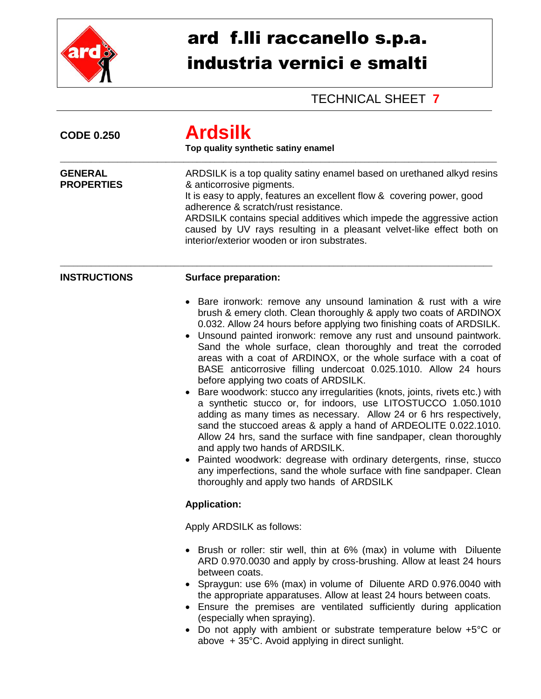

## ard f.lli raccanello s.p.a. industria vernici e smalti

## TECHNICAL SHEET **7**

| <b>CODE 0.250</b>                   | <b>Ardsilk</b><br>Top quality synthetic satiny enamel                                                                                                                                                                                                                                                                                                                                                                                                                                                                                                                                                                                                                                                                                                                                                                                                                                                                                                                                                                                                                                                                                  |  |  |
|-------------------------------------|----------------------------------------------------------------------------------------------------------------------------------------------------------------------------------------------------------------------------------------------------------------------------------------------------------------------------------------------------------------------------------------------------------------------------------------------------------------------------------------------------------------------------------------------------------------------------------------------------------------------------------------------------------------------------------------------------------------------------------------------------------------------------------------------------------------------------------------------------------------------------------------------------------------------------------------------------------------------------------------------------------------------------------------------------------------------------------------------------------------------------------------|--|--|
| <b>GENERAL</b><br><b>PROPERTIES</b> | ARDSILK is a top quality satiny enamel based on urethaned alkyd resins<br>& anticorrosive pigments.<br>It is easy to apply, features an excellent flow & covering power, good<br>adherence & scratch/rust resistance.<br>ARDSILK contains special additives which impede the aggressive action<br>caused by UV rays resulting in a pleasant velvet-like effect both on<br>interior/exterior wooden or iron substrates.                                                                                                                                                                                                                                                                                                                                                                                                                                                                                                                                                                                                                                                                                                                 |  |  |
| <b>INSTRUCTIONS</b>                 | <b>Surface preparation:</b>                                                                                                                                                                                                                                                                                                                                                                                                                                                                                                                                                                                                                                                                                                                                                                                                                                                                                                                                                                                                                                                                                                            |  |  |
|                                     | Bare ironwork: remove any unsound lamination & rust with a wire<br>brush & emery cloth. Clean thoroughly & apply two coats of ARDINOX<br>0.032. Allow 24 hours before applying two finishing coats of ARDSILK.<br>• Unsound painted ironwork: remove any rust and unsound paintwork.<br>Sand the whole surface, clean thoroughly and treat the corroded<br>areas with a coat of ARDINOX, or the whole surface with a coat of<br>BASE anticorrosive filling undercoat 0.025.1010. Allow 24 hours<br>before applying two coats of ARDSILK.<br>Bare woodwork: stucco any irregularities (knots, joints, rivets etc.) with<br>a synthetic stucco or, for indoors, use LITOSTUCCO 1.050.1010<br>adding as many times as necessary. Allow 24 or 6 hrs respectively,<br>sand the stuccoed areas & apply a hand of ARDEOLITE 0.022.1010.<br>Allow 24 hrs, sand the surface with fine sandpaper, clean thoroughly<br>and apply two hands of ARDSILK.<br>Painted woodwork: degrease with ordinary detergents, rinse, stucco<br>any imperfections, sand the whole surface with fine sandpaper. Clean<br>thoroughly and apply two hands of ARDSILK |  |  |
|                                     | <b>Application:</b>                                                                                                                                                                                                                                                                                                                                                                                                                                                                                                                                                                                                                                                                                                                                                                                                                                                                                                                                                                                                                                                                                                                    |  |  |
|                                     | Apply ARDSILK as follows:                                                                                                                                                                                                                                                                                                                                                                                                                                                                                                                                                                                                                                                                                                                                                                                                                                                                                                                                                                                                                                                                                                              |  |  |
|                                     | • Brush or roller: stir well, thin at 6% (max) in volume with Diluente<br>ARD 0.970.0030 and apply by cross-brushing. Allow at least 24 hours<br>between coats.<br>• Spraygun: use 6% (max) in volume of Diluente ARD 0.976.0040 with<br>the appropriate apparatuses. Allow at least 24 hours between coats.<br>• Ensure the premises are ventilated sufficiently during application<br>(especially when spraying).<br>• Do not apply with ambient or substrate temperature below +5°C or<br>above + 35°C. Avoid applying in direct sunlight.                                                                                                                                                                                                                                                                                                                                                                                                                                                                                                                                                                                          |  |  |